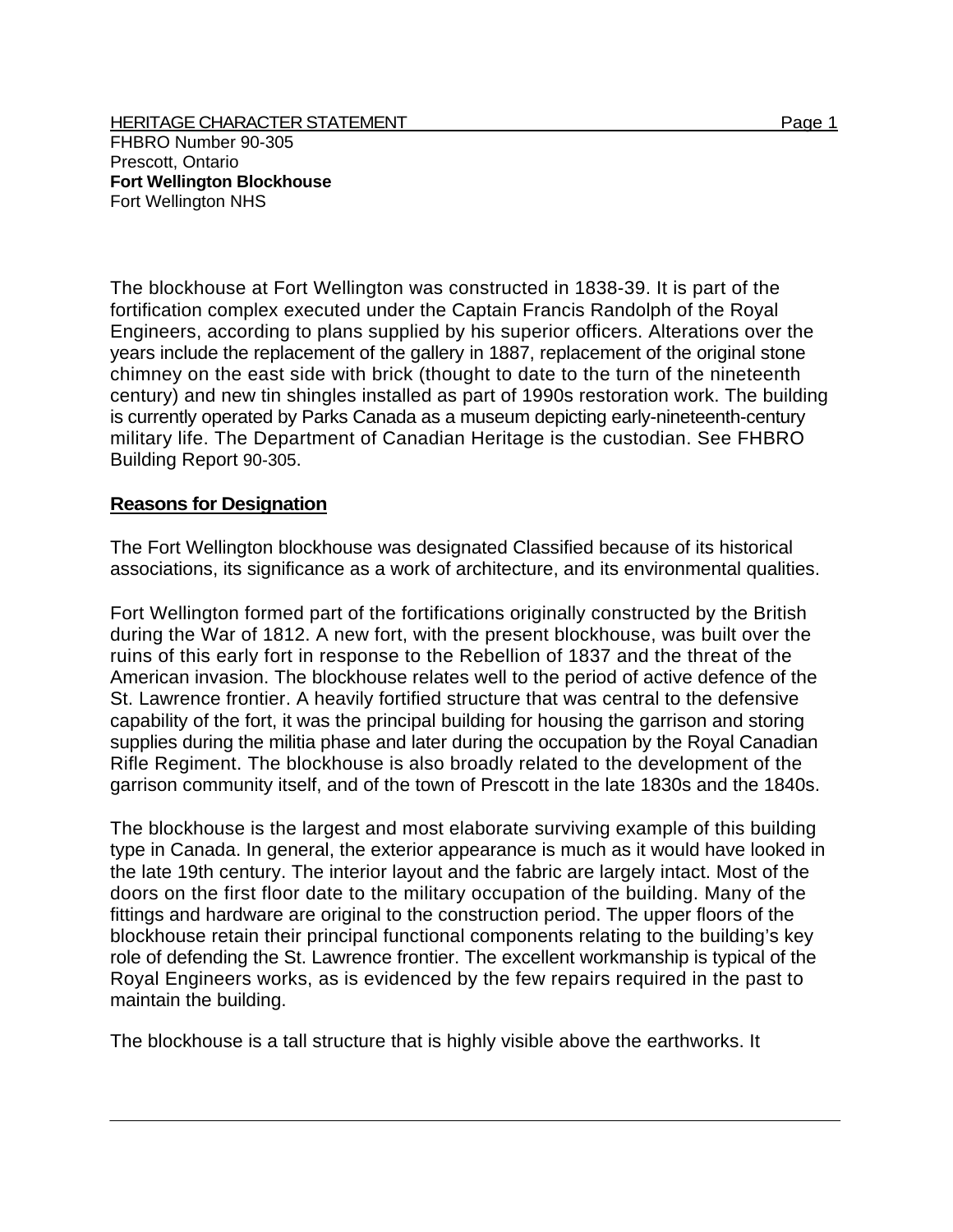The blockhouse at Fort Wellington was constructed in 1838-39. It is part of the fortification complex executed under the Captain Francis Randolph of the Royal Engineers, according to plans supplied by his superior officers. Alterations over the years include the replacement of the gallery in 1887, replacement of the original stone chimney on the east side with brick (thought to date to the turn of the nineteenth century) and new tin shingles installed as part of 1990s restoration work. The building is currently operated by Parks Canada as a museum depicting early-nineteenth-century military life. The Department of Canadian Heritage is the custodian. See FHBRO Building Report 90-305.

## **Reasons for Designation**

The Fort Wellington blockhouse was designated Classified because of its historical associations, its significance as a work of architecture, and its environmental qualities.

Fort Wellington formed part of the fortifications originally constructed by the British during the War of 1812. A new fort, with the present blockhouse, was built over the ruins of this early fort in response to the Rebellion of 1837 and the threat of the American invasion. The blockhouse relates well to the period of active defence of the St. Lawrence frontier. A heavily fortified structure that was central to the defensive capability of the fort, it was the principal building for housing the garrison and storing supplies during the militia phase and later during the occupation by the Royal Canadian Rifle Regiment. The blockhouse is also broadly related to the development of the garrison community itself, and of the town of Prescott in the late 1830s and the 1840s.

The blockhouse is the largest and most elaborate surviving example of this building type in Canada. In general, the exterior appearance is much as it would have looked in the late 19th century. The interior layout and the fabric are largely intact. Most of the doors on the first floor date to the military occupation of the building. Many of the fittings and hardware are original to the construction period. The upper floors of the blockhouse retain their principal functional components relating to the building's key role of defending the St. Lawrence frontier. The excellent workmanship is typical of the Royal Engineers works, as is evidenced by the few repairs required in the past to maintain the building.

The blockhouse is a tall structure that is highly visible above the earthworks. It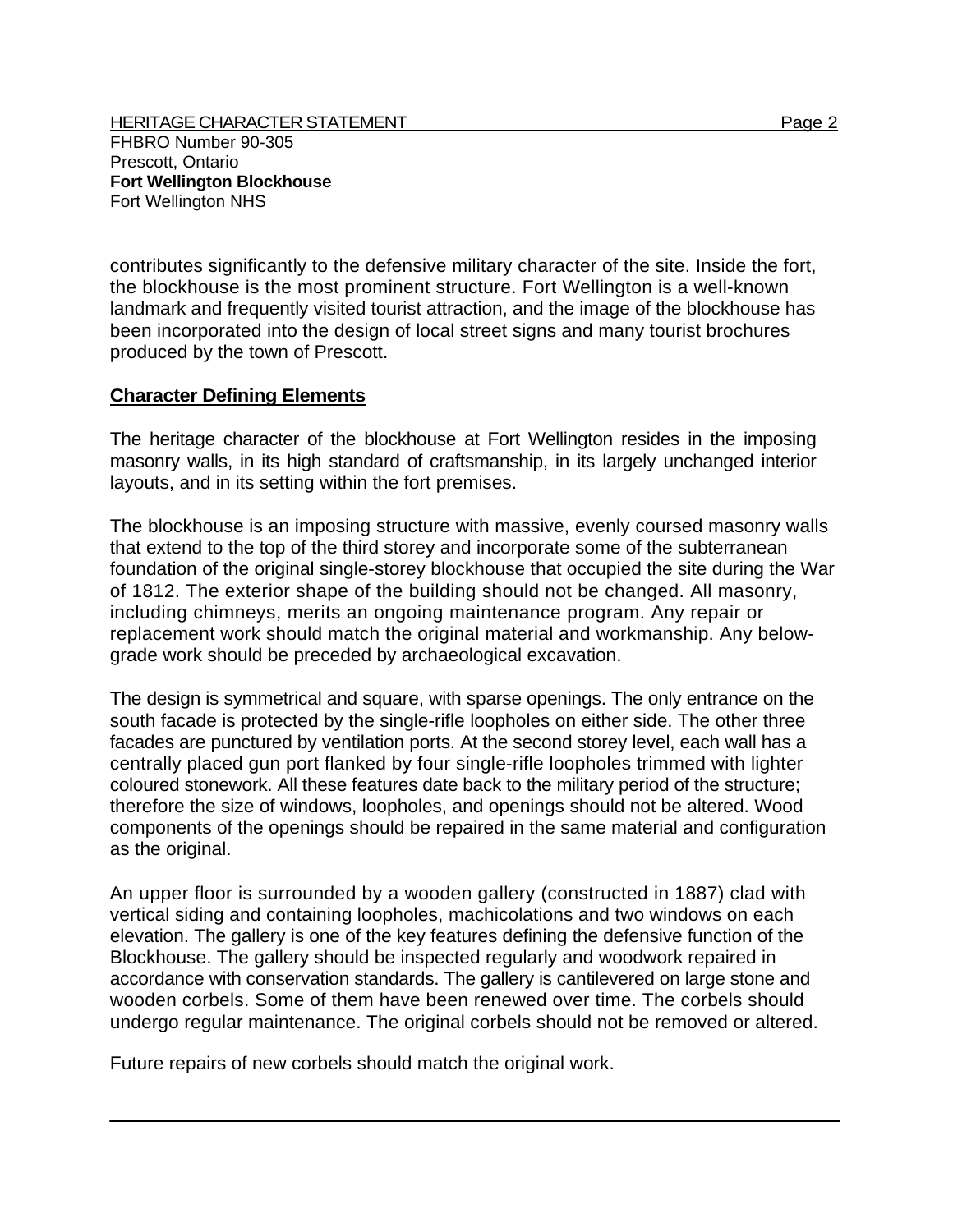contributes significantly to the defensive military character of the site. Inside the fort, the blockhouse is the most prominent structure. Fort Wellington is a well-known landmark and frequently visited tourist attraction, and the image of the blockhouse has been incorporated into the design of local street signs and many tourist brochures produced by the town of Prescott.

## **Character Defining Elements**

The heritage character of the blockhouse at Fort Wellington resides in the imposing masonry walls, in its high standard of craftsmanship, in its largely unchanged interior layouts, and in its setting within the fort premises.

The blockhouse is an imposing structure with massive, evenly coursed masonry walls that extend to the top of the third storey and incorporate some of the subterranean foundation of the original single-storey blockhouse that occupied the site during the War of 1812. The exterior shape of the building should not be changed. All masonry, including chimneys, merits an ongoing maintenance program. Any repair or replacement work should match the original material and workmanship. Any belowgrade work should be preceded by archaeological excavation.

The design is symmetrical and square, with sparse openings. The only entrance on the south facade is protected by the single-rifle loopholes on either side. The other three facades are punctured by ventilation ports. At the second storey level, each wall has a centrally placed gun port flanked by four single-rifle loopholes trimmed with lighter coloured stonework. All these features date back to the military period of the structure; therefore the size of windows, loopholes, and openings should not be altered. Wood components of the openings should be repaired in the same material and configuration as the original.

An upper floor is surrounded by a wooden gallery (constructed in 1887) clad with vertical siding and containing loopholes, machicolations and two windows on each elevation. The gallery is one of the key features defining the defensive function of the Blockhouse. The gallery should be inspected regularly and woodwork repaired in accordance with conservation standards. The gallery is cantilevered on large stone and wooden corbels. Some of them have been renewed over time. The corbels should undergo regular maintenance. The original corbels should not be removed or altered.

Future repairs of new corbels should match the original work.